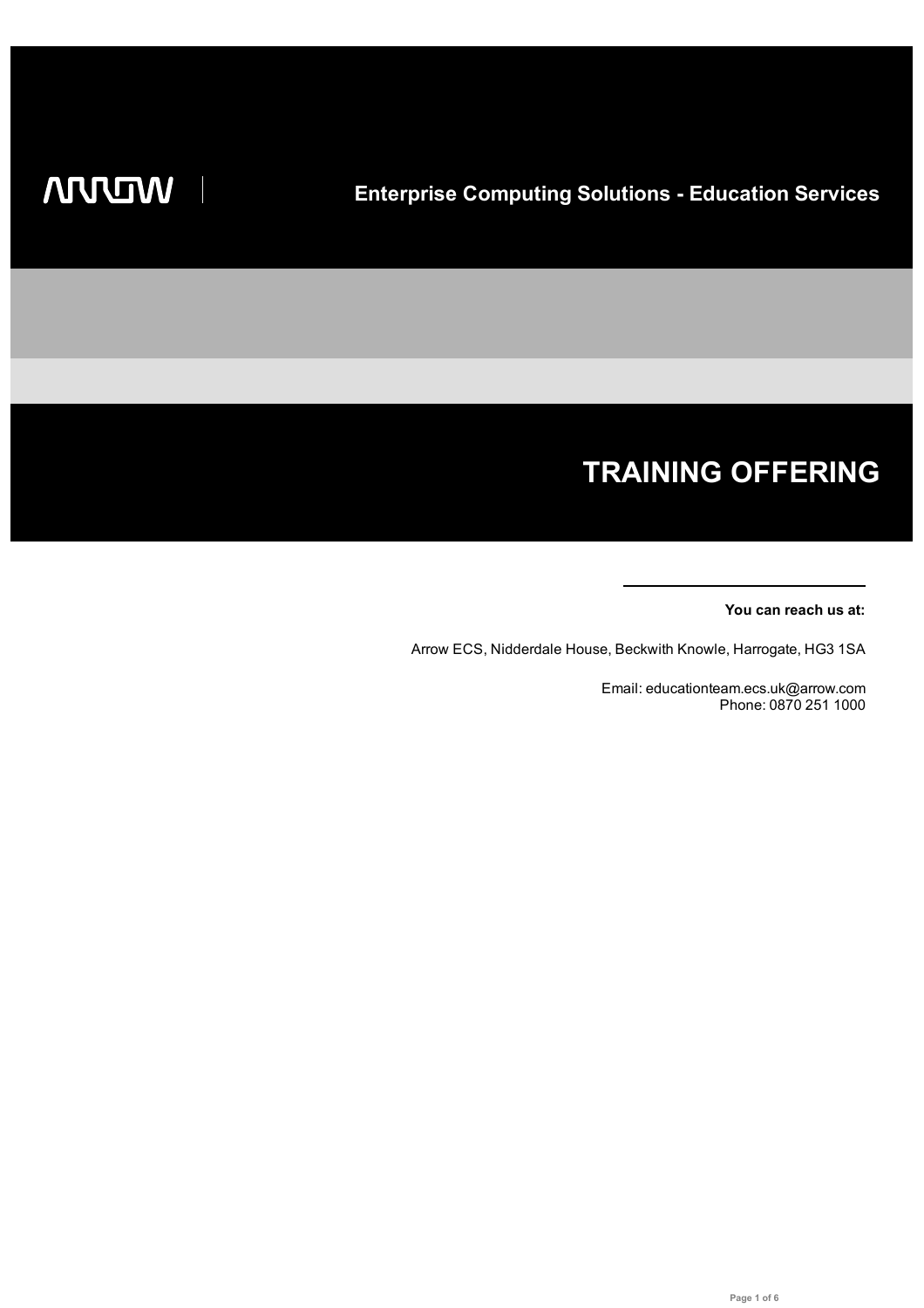# **TRAINING OFFERING**

## **You can reach us at:**

Arrow ECS, Nidderdale House, Beckwith Knowle, Harrogate, HG3 1SA

Email: educationteam.ecs.uk@arrow.com Phone: 0870 251 1000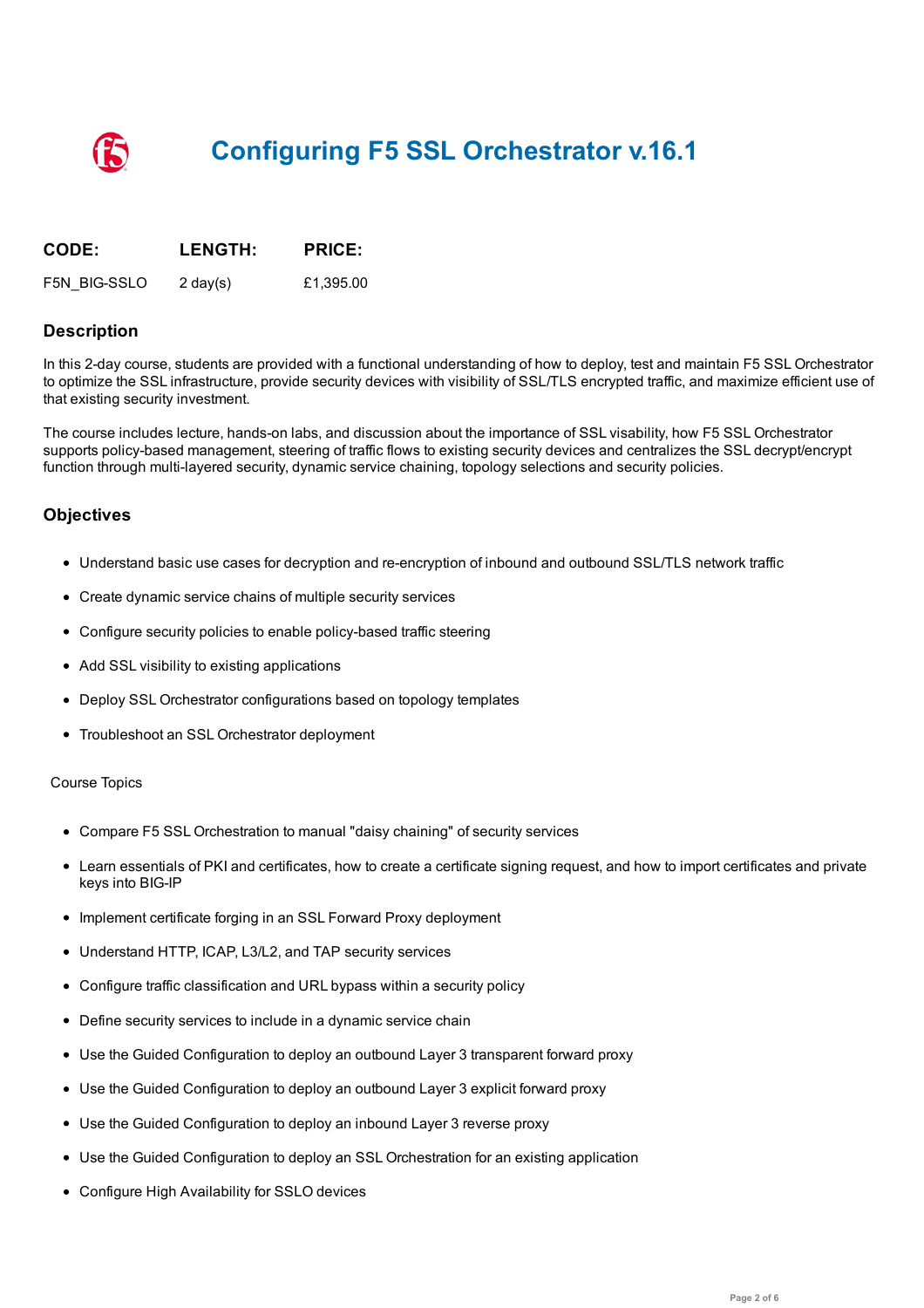

| CODE:        | <b>LENGTH:</b> | <b>PRICE:</b> |
|--------------|----------------|---------------|
| F5N BIG-SSLO | 2 day $(s)$    | £1,395.00     |

## **Description**

In this 2-day course, students are provided with a functional understanding of how to deploy, test and maintain F5 SSL Orchestrator to optimize the SSL infrastructure, provide security devices with visibility of SSL/TLS encrypted traffic, and maximize efficient use of that existing security investment.

The course includes lecture, hands-on labs, and discussion about the importance of SSL visability, how F5 SSL Orchestrator supports policy-based management, steering of traffic flows to existing security devices and centralizes the SSL decrypt/encrypt function through multi-layered security, dynamic service chaining, topology selections and security policies.

## **Objectives**

- Understand basic use cases for decryption and re-encryption of inbound and outbound SSL/TLS network traffic
- Create dynamic service chains of multiple security services
- Configure security policies to enable policy-based traffic steering
- Add SSL visibility to existing applications
- Deploy SSL Orchestrator configurations based on topology templates
- Troubleshoot an SSL Orchestrator deployment

#### Course Topics

- Compare F5 SSL Orchestration to manual "daisy chaining" of security services
- Learn essentials of PKI and certificates, how to create a certificate signing request, and how to import certificates and private keys into BIG-IP
- Implement certificate forging in an SSL Forward Proxy deployment
- Understand HTTP, ICAP, L3/L2, and TAP security services
- Configure traffic classification and URL bypass within a security policy
- Define security services to include in a dynamic service chain
- Use the Guided Configuration to deploy an outbound Layer 3 transparent forward proxy
- Use the Guided Configuration to deploy an outbound Layer 3 explicit forward proxy
- Use the Guided Configuration to deploy an inbound Layer 3 reverse proxy
- Use the Guided Configuration to deploy an SSL Orchestration for an existing application
- Configure High Availability for SSLO devices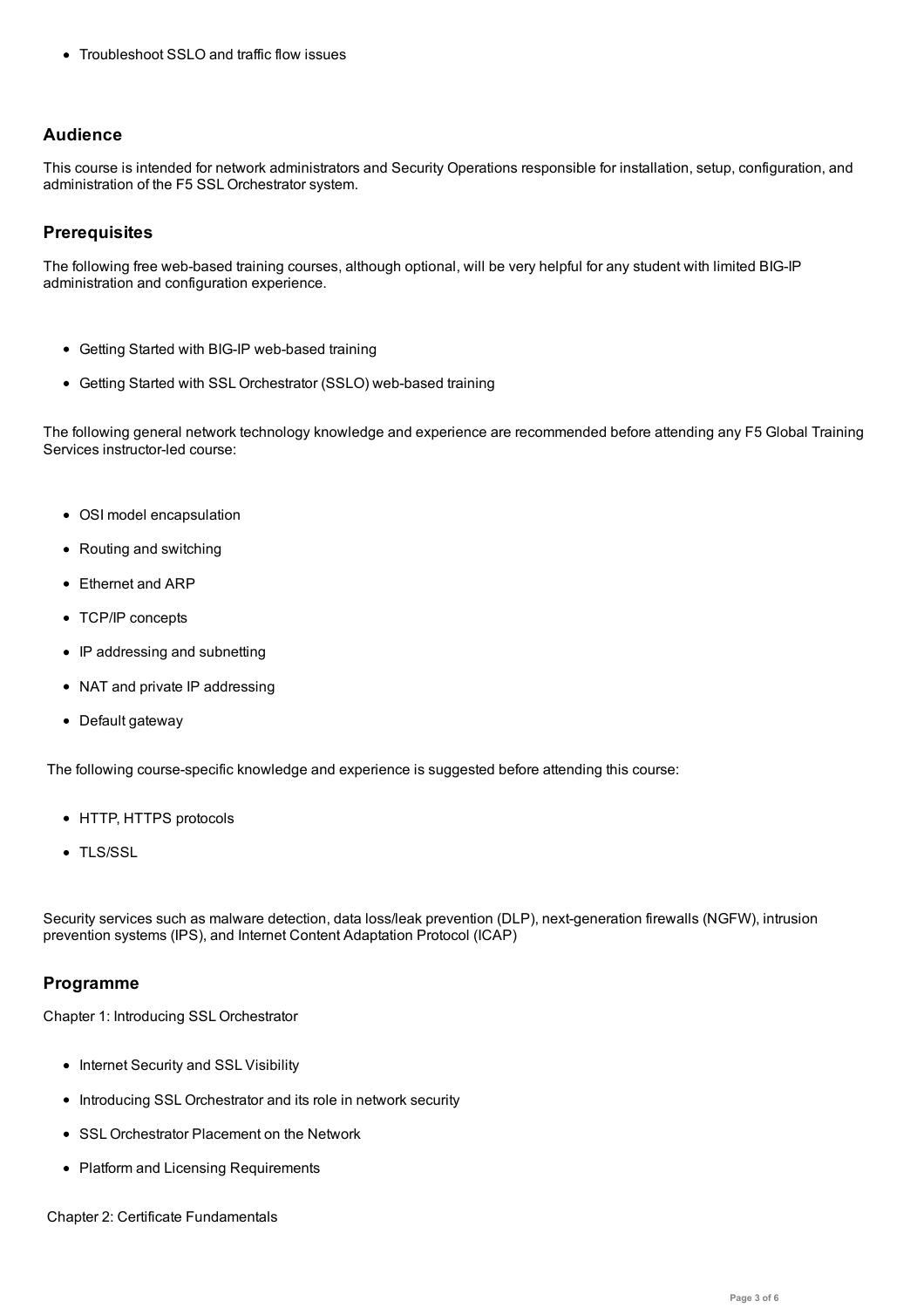# **Audience**

This course is intended for network administrators and Security Operations responsible for installation, setup, configuration, and administration of the F5 SSL Orchestrator system.

# **Prerequisites**

The following free web-based training courses, although optional, will be very helpful for any student with limited BIG-IP administration and configuration experience.

- Getting Started with BIG-IP web-based training
- Getting Started with SSL Orchestrator (SSLO) web-based training

The following general network technology knowledge and experience are recommended before attending any F5 Global Training Services instructor-led course:

- OSI model encapsulation
- Routing and switching
- Ethernet and ARP
- TCP/IP concepts
- IP addressing and subnetting
- NAT and private IP addressing
- Default gateway

The following course-specific knowledge and experience is suggested before attending this course:

- HTTP, HTTPS protocols
- TLS/SSL

Security services such as malware detection, data loss/leak prevention (DLP), next-generation firewalls (NGFW), intrusion prevention systems (IPS), and Internet Content Adaptation Protocol (ICAP)

## **Programme**

Chapter 1: Introducing SSL Orchestrator

- Internet Security and SSL Visibility
- Introducing SSL Orchestrator and its role in network security
- SSL Orchestrator Placement on the Network
- Platform and Licensing Requirements

Chapter 2: Certificate Fundamentals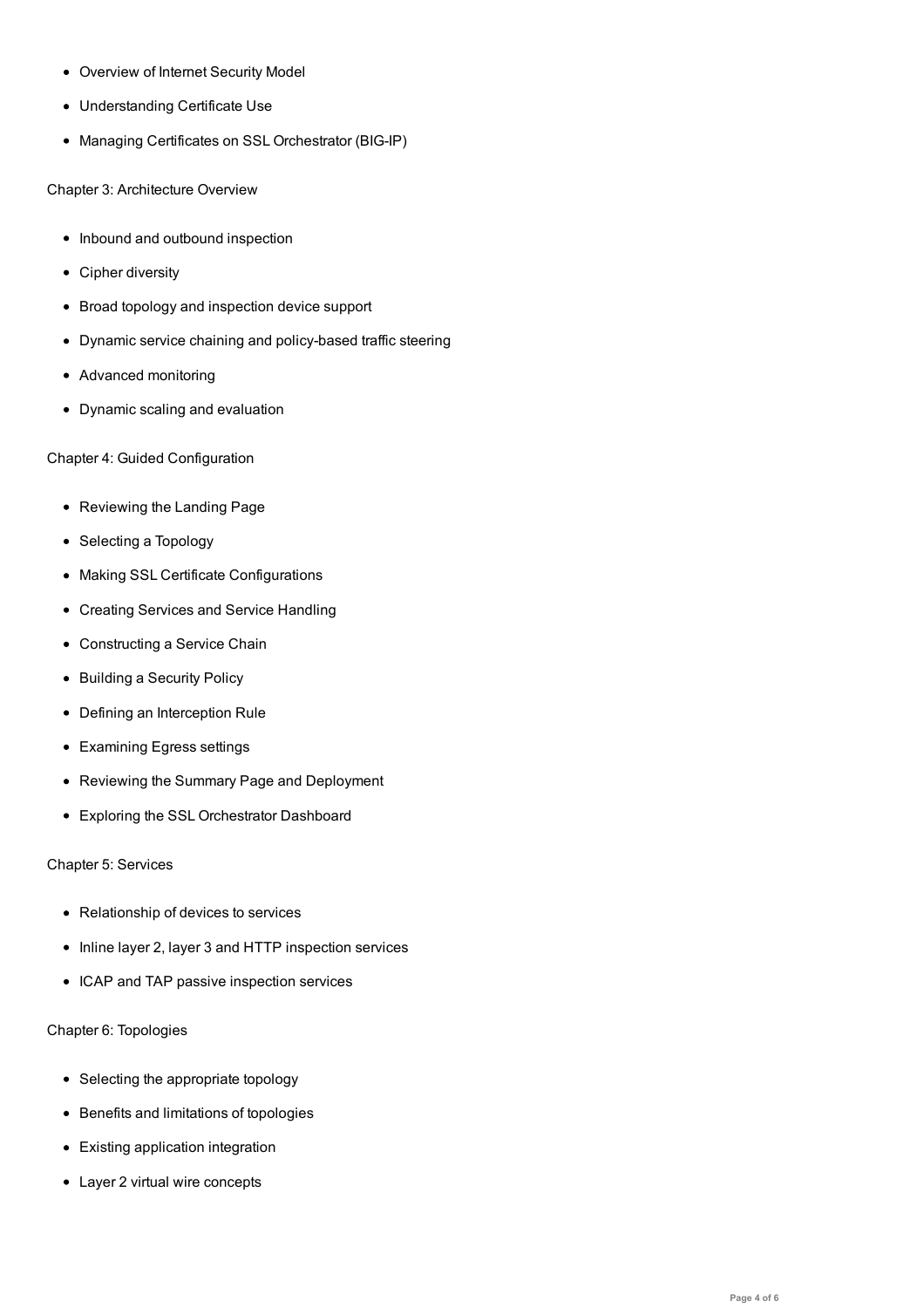Understanding Certificate Use

Overview of Internet Security Model

• Managing Certificates on SSL Orchestrator (BIG-IP)

Chapter 3: Architecture Overview

- Inbound and outbound inspection
- Cipher diversity
- Broad topology and inspection device support
- Dynamic service chaining and policy-based traffic steering
- Advanced monitoring
- Dynamic scaling and evaluation

Chapter 4: Guided Configuration

- Reviewing the Landing Page
- Selecting a Topology
- Making SSL Certificate Configurations
- Creating Services and Service Handling
- Constructing a Service Chain
- Building a Security Policy
- Defining an Interception Rule
- Examining Egress settings
- Reviewing the Summary Page and Deployment
- Exploring the SSL Orchestrator Dashboard

## Chapter 5: Services

- Relationship of devices to services
- Inline layer 2, layer 3 and HTTP inspection services
- ICAP and TAP passive inspection services

## Chapter 6: Topologies

- Selecting the appropriate topology
- **•** Benefits and limitations of topologies
- Existing application integration
- Layer 2 virtual wire concepts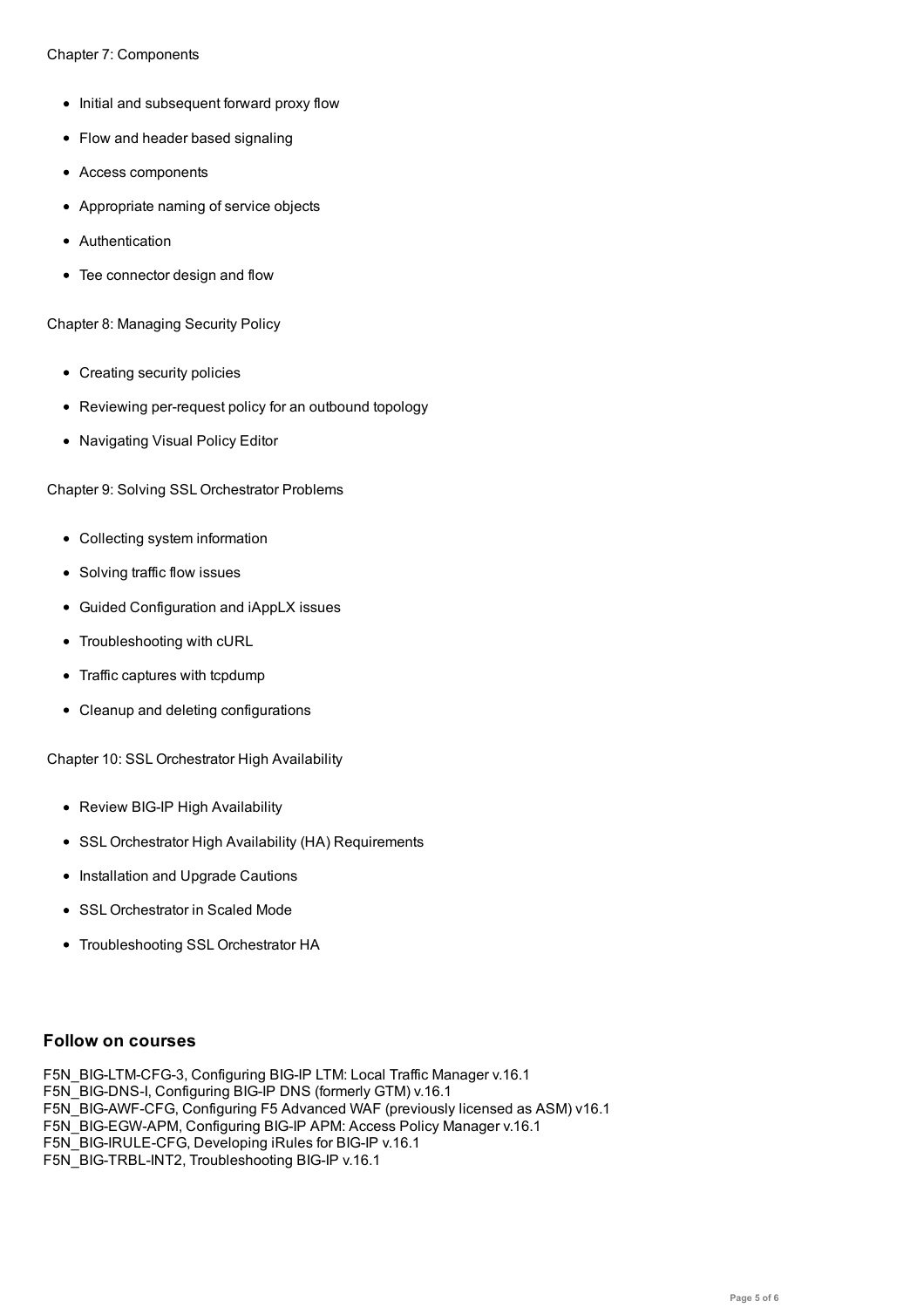- Initial and subsequent forward proxy flow
- Flow and header based signaling
- Access components
- Appropriate naming of service objects
- Authentication
- Tee connector design and flow

Chapter 8: Managing Security Policy

- Creating security policies
- Reviewing per-request policy for an outbound topology
- Navigating Visual Policy Editor

Chapter 9: Solving SSL Orchestrator Problems

- Collecting system information
- Solving traffic flow issues
- Guided Configuration and iAppLX issues
- Troubleshooting with cURL
- Traffic captures with tcpdump
- Cleanup and deleting configurations

Chapter 10: SSL Orchestrator High Availability

- Review BIG-IP High Availability
- SSL Orchestrator High Availability (HA) Requirements
- Installation and Upgrade Cautions
- SSL Orchestrator in Scaled Mode
- Troubleshooting SSL Orchestrator HA

## **Follow on courses**

F5N\_BIG-LTM-CFG-3, Configuring BIG-IP LTM: Local Traffic Manager v.16.1 F5N\_BIG-DNS-I, Configuring BIG-IP DNS (formerly GTM) v.16.1 F5N\_BIG-AWF-CFG, Configuring F5 Advanced WAF (previously licensed as ASM) v16.1 F5N\_BIG-EGW-APM, Configuring BIG-IP APM: Access Policy Manager v.16.1 F5N\_BIG-IRULE-CFG, Developing iRules for BIG-IP v.16.1 F5N\_BIG-TRBL-INT2, Troubleshooting BIG-IP v.16.1